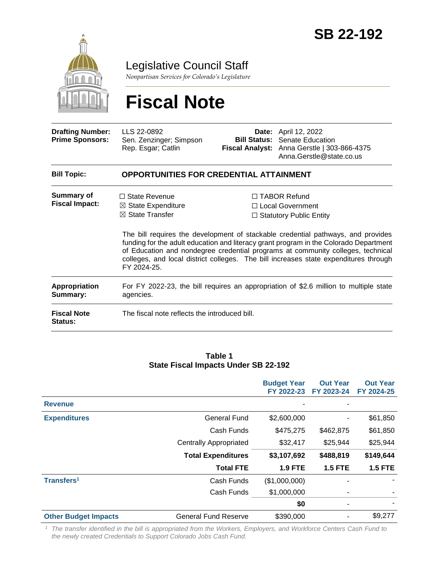

Legislative Council Staff

*Nonpartisan Services for Colorado's Legislature*

# **Fiscal Note**

| <b>Drafting Number:</b><br><b>Prime Sponsors:</b> | LLS 22-0892<br>Sen. Zenzinger; Simpson<br>Rep. Esgar; Catlin                                                                                                                                                                                                                                                                                                        | Bill Status: | <b>Date:</b> April 12, 2022<br>Senate Education<br>Fiscal Analyst: Anna Gerstle   303-866-4375<br>Anna.Gerstle@state.co.us |  |  |
|---------------------------------------------------|---------------------------------------------------------------------------------------------------------------------------------------------------------------------------------------------------------------------------------------------------------------------------------------------------------------------------------------------------------------------|--------------|----------------------------------------------------------------------------------------------------------------------------|--|--|
| <b>Bill Topic:</b>                                | <b>OPPORTUNITIES FOR CREDENTIAL ATTAINMENT</b>                                                                                                                                                                                                                                                                                                                      |              |                                                                                                                            |  |  |
| <b>Summary of</b><br><b>Fiscal Impact:</b>        | $\Box$ State Revenue<br>$\boxtimes$ State Expenditure                                                                                                                                                                                                                                                                                                               |              | □ TABOR Refund<br>□ Local Government                                                                                       |  |  |
|                                                   | $\boxtimes$ State Transfer                                                                                                                                                                                                                                                                                                                                          |              | $\Box$ Statutory Public Entity                                                                                             |  |  |
|                                                   | The bill requires the development of stackable credential pathways, and provides<br>funding for the adult education and literacy grant program in the Colorado Department<br>of Education and nondegree credential programs at community colleges, technical<br>colleges, and local district colleges. The bill increases state expenditures through<br>FY 2024-25. |              |                                                                                                                            |  |  |
| <b>Appropriation</b><br>Summary:                  | agencies.                                                                                                                                                                                                                                                                                                                                                           |              | For FY 2022-23, the bill requires an appropriation of \$2.6 million to multiple state                                      |  |  |
| <b>Fiscal Note</b><br>Status:                     | The fiscal note reflects the introduced bill.                                                                                                                                                                                                                                                                                                                       |              |                                                                                                                            |  |  |
|                                                   |                                                                                                                                                                                                                                                                                                                                                                     |              |                                                                                                                            |  |  |

#### **Table 1 State Fiscal Impacts Under SB 22-192**

|                             |                               | <b>Budget Year</b><br>FY 2022-23 | <b>Out Year</b><br>FY 2023-24 | <b>Out Year</b><br>FY 2024-25 |
|-----------------------------|-------------------------------|----------------------------------|-------------------------------|-------------------------------|
| <b>Revenue</b>              |                               |                                  |                               |                               |
| <b>Expenditures</b>         | <b>General Fund</b>           | \$2,600,000                      | ٠                             | \$61,850                      |
|                             | Cash Funds                    | \$475,275                        | \$462,875                     | \$61,850                      |
|                             | <b>Centrally Appropriated</b> | \$32,417                         | \$25,944                      | \$25,944                      |
|                             | <b>Total Expenditures</b>     | \$3,107,692                      | \$488,819                     | \$149,644                     |
|                             | <b>Total FTE</b>              | <b>1.9 FTE</b>                   | <b>1.5 FTE</b>                | <b>1.5 FTE</b>                |
| Transfers <sup>1</sup>      | Cash Funds                    | (\$1,000,000)                    |                               |                               |
|                             | Cash Funds                    | \$1,000,000                      | ۰                             |                               |
|                             |                               | \$0                              | ٠                             |                               |
| <b>Other Budget Impacts</b> | <b>General Fund Reserve</b>   | \$390,000                        |                               | \$9,277                       |

*<sup>1</sup> The transfer identified in the bill is appropriated from the Workers, Employers, and Workforce Centers Cash Fund to the newly created Credentials to Support Colorado Jobs Cash Fund.*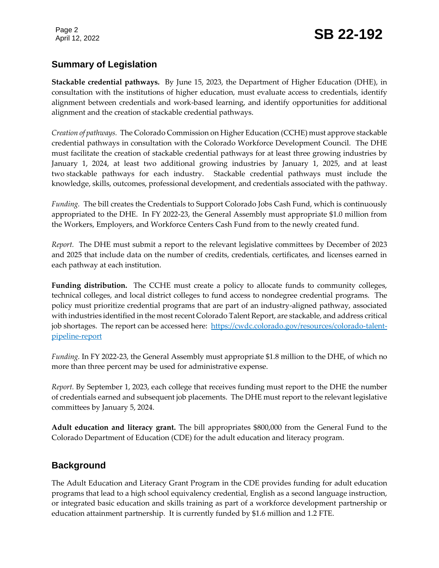# **Summary of Legislation**

**Stackable credential pathways.** By June 15, 2023, the Department of Higher Education (DHE), in consultation with the institutions of higher education, must evaluate access to credentials, identify alignment between credentials and work-based learning, and identify opportunities for additional alignment and the creation of stackable credential pathways.

*Creation of pathways.* The Colorado Commission on Higher Education (CCHE) must approve stackable credential pathways in consultation with the Colorado Workforce Development Council. The DHE must facilitate the creation of stackable credential pathways for at least three growing industries by January 1, 2024, at least two additional growing industries by January 1, 2025, and at least two stackable pathways for each industry. Stackable credential pathways must include the knowledge, skills, outcomes, professional development, and credentials associated with the pathway.

*Funding.* The bill creates the Credentials to Support Colorado Jobs Cash Fund, which is continuously appropriated to the DHE. In FY 2022-23, the General Assembly must appropriate \$1.0 million from the Workers, Employers, and Workforce Centers Cash Fund from to the newly created fund.

*Report.* The DHE must submit a report to the relevant legislative committees by December of 2023 and 2025 that include data on the number of credits, credentials, certificates, and licenses earned in each pathway at each institution.

**Funding distribution.** The CCHE must create a policy to allocate funds to community colleges, technical colleges, and local district colleges to fund access to nondegree credential programs. The policy must prioritize credential programs that are part of an industry-aligned pathway, associated with industries identified in the most recent Colorado Talent Report, are stackable, and address critical job shortages. The report can be accessed here: [https://cwdc.colorado.gov/resources/colorado-talent](https://cwdc.colorado.gov/resources/colorado-talent-pipeline-report)[pipeline-report](https://cwdc.colorado.gov/resources/colorado-talent-pipeline-report)

*Funding.* In FY 2022-23, the General Assembly must appropriate \$1.8 million to the DHE, of which no more than three percent may be used for administrative expense.

*Report.* By September 1, 2023, each college that receives funding must report to the DHE the number of credentials earned and subsequent job placements. The DHE must report to the relevant legislative committees by January 5, 2024.

**Adult education and literacy grant.** The bill appropriates \$800,000 from the General Fund to the Colorado Department of Education (CDE) for the adult education and literacy program.

## **Background**

The Adult Education and Literacy Grant Program in the CDE provides funding for adult education programs that lead to a high school equivalency credential, English as a second language instruction, or integrated basic education and skills training as part of a workforce development partnership or education attainment partnership. It is currently funded by \$1.6 million and 1.2 FTE.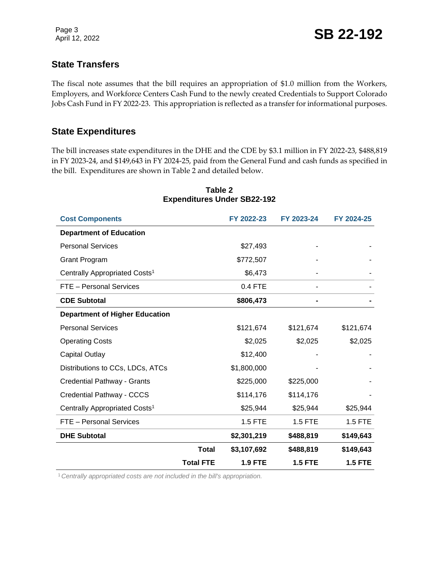Page 3

## **State Transfers**

The fiscal note assumes that the bill requires an appropriation of \$1.0 million from the Workers, Employers, and Workforce Centers Cash Fund to the newly created Credentials to Support Colorado Jobs Cash Fund in FY 2022-23. This appropriation is reflected as a transfer for informational purposes.

## **State Expenditures**

The bill increases state expenditures in the DHE and the CDE by \$3.1 million in FY 2022-23, \$488,819 in FY 2023-24, and \$149,643 in FY 2024-25, paid from the General Fund and cash funds as specified in the bill. Expenditures are shown in Table 2 and detailed below.

| <b>Cost Components</b>                    | FY 2022-23       |                | FY 2023-24     | FY 2024-25     |
|-------------------------------------------|------------------|----------------|----------------|----------------|
| <b>Department of Education</b>            |                  |                |                |                |
| <b>Personal Services</b>                  |                  | \$27,493       |                |                |
| <b>Grant Program</b>                      |                  | \$772,507      |                |                |
| Centrally Appropriated Costs <sup>1</sup> |                  | \$6,473        |                |                |
| FTE - Personal Services                   |                  | 0.4 FTE        |                |                |
| <b>CDE Subtotal</b>                       |                  | \$806,473      |                |                |
| <b>Department of Higher Education</b>     |                  |                |                |                |
| <b>Personal Services</b>                  |                  | \$121,674      | \$121,674      | \$121,674      |
| <b>Operating Costs</b>                    |                  | \$2,025        | \$2,025        | \$2,025        |
| <b>Capital Outlay</b>                     |                  | \$12,400       |                |                |
| Distributions to CCs, LDCs, ATCs          |                  | \$1,800,000    |                |                |
| Credential Pathway - Grants               |                  | \$225,000      | \$225,000      |                |
| Credential Pathway - CCCS                 |                  | \$114,176      | \$114,176      |                |
| Centrally Appropriated Costs <sup>1</sup> |                  | \$25,944       | \$25,944       | \$25,944       |
| FTE - Personal Services                   |                  | 1.5 FTE        | <b>1.5 FTE</b> | <b>1.5 FTE</b> |
| <b>DHE Subtotal</b>                       |                  | \$2,301,219    | \$488,819      | \$149,643      |
|                                           | <b>Total</b>     | \$3,107,692    | \$488,819      | \$149,643      |
|                                           | <b>Total FTE</b> | <b>1.9 FTE</b> | <b>1.5 FTE</b> | <b>1.5 FTE</b> |

#### **Table 2 Expenditures Under SB22-192**

1*Centrally appropriated costs are not included in the bill's appropriation.*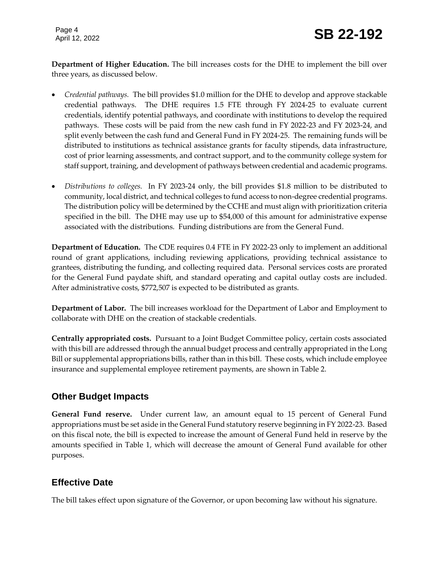Page 4

**Department of Higher Education.** The bill increases costs for the DHE to implement the bill over three years, as discussed below.

- *Credential pathways.* The bill provides \$1.0 million for the DHE to develop and approve stackable credential pathways. The DHE requires 1.5 FTE through FY 2024-25 to evaluate current credentials, identify potential pathways, and coordinate with institutions to develop the required pathways. These costs will be paid from the new cash fund in FY 2022-23 and FY 2023-24, and split evenly between the cash fund and General Fund in FY 2024-25. The remaining funds will be distributed to institutions as technical assistance grants for faculty stipends, data infrastructure, cost of prior learning assessments, and contract support, and to the community college system for staff support, training, and development of pathways between credential and academic programs.
- *Distributions to colleges.* In FY 2023-24 only, the bill provides \$1.8 million to be distributed to community, local district, and technical colleges to fund access to non-degree credential programs. The distribution policy will be determined by the CCHE and must align with prioritization criteria specified in the bill. The DHE may use up to \$54,000 of this amount for administrative expense associated with the distributions. Funding distributions are from the General Fund.

**Department of Education.** The CDE requires 0.4 FTE in FY 2022-23 only to implement an additional round of grant applications, including reviewing applications, providing technical assistance to grantees, distributing the funding, and collecting required data. Personal services costs are prorated for the General Fund paydate shift, and standard operating and capital outlay costs are included. After administrative costs, \$772,507 is expected to be distributed as grants.

**Department of Labor.** The bill increases workload for the Department of Labor and Employment to collaborate with DHE on the creation of stackable credentials.

**Centrally appropriated costs.** Pursuant to a Joint Budget Committee policy, certain costs associated with this bill are addressed through the annual budget process and centrally appropriated in the Long Bill or supplemental appropriations bills, rather than in this bill. These costs, which include employee insurance and supplemental employee retirement payments, are shown in Table 2.

# **Other Budget Impacts**

**General Fund reserve.** Under current law, an amount equal to 15 percent of General Fund appropriations must be set aside in the General Fund statutory reserve beginning in FY 2022-23. Based on this fiscal note, the bill is expected to increase the amount of General Fund held in reserve by the amounts specified in Table 1, which will decrease the amount of General Fund available for other purposes.

# **Effective Date**

The bill takes effect upon signature of the Governor, or upon becoming law without his signature.